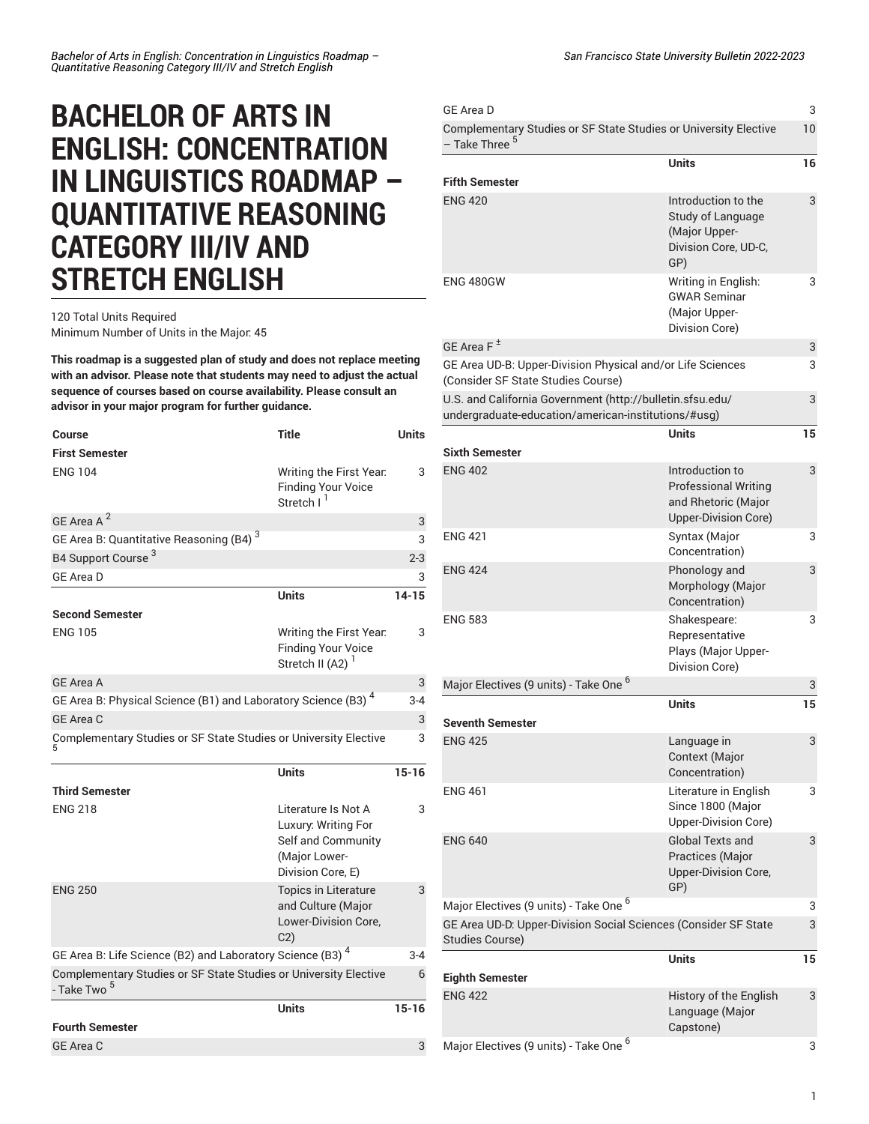## **BACHELOR OF ARTS IN ENGLISH: CONCENTRATION IN LINGUISTICS ROADMAP – QUANTITATIVE REASONING CATEGORY III/IV AND STRETCH ENGLISH**

## 120 Total Units Required Minimum Number of Units in the Major: 45

**This roadmap is a suggested plan of study and does not replace meeting with an advisor. Please note that students may need to adjust the actual sequence of courses based on course availability. Please consult an advisor in your major program for further guidance.**

| <b>Course</b>                                                                               | <b>Title</b>                                                                                           | Units     |
|---------------------------------------------------------------------------------------------|--------------------------------------------------------------------------------------------------------|-----------|
| <b>First Semester</b>                                                                       |                                                                                                        |           |
| <b>ENG 104</b>                                                                              | Writing the First Year.<br><b>Finding Your Voice</b><br>Stretch I <sup>I</sup>                         | 3         |
| GE Area A <sup>2</sup>                                                                      |                                                                                                        | 3         |
| GE Area B: Quantitative Reasoning (B4) <sup>3</sup>                                         |                                                                                                        | 3         |
| B4 Support Course <sup>3</sup>                                                              |                                                                                                        | $2 - 3$   |
| <b>GE Area D</b>                                                                            |                                                                                                        | 3         |
|                                                                                             | Units                                                                                                  | $14 - 15$ |
| <b>Second Semester</b>                                                                      |                                                                                                        |           |
| <b>ENG 105</b>                                                                              | Writing the First Year.<br><b>Finding Your Voice</b><br>Stretch II (A2) <sup>1</sup>                   | 3         |
| GE Area A                                                                                   |                                                                                                        | 3         |
| GE Area B: Physical Science (B1) and Laboratory Science (B3) <sup>4</sup>                   |                                                                                                        | $3 - 4$   |
| GE Area C                                                                                   |                                                                                                        | 3         |
| Complementary Studies or SF State Studies or University Elective                            |                                                                                                        | 3         |
|                                                                                             | <b>Units</b>                                                                                           | $15 - 16$ |
| <b>Third Semester</b>                                                                       |                                                                                                        |           |
| <b>ENG 218</b>                                                                              | Literature Is Not A<br>Luxury: Writing For<br>Self and Community<br>(Major Lower-<br>Division Core, E) | 3         |
| <b>ENG 250</b>                                                                              | Topics in Literature<br>and Culture (Major<br>Lower-Division Core,<br>C <sub>2</sub>                   | 3         |
| GE Area B: Life Science (B2) and Laboratory Science (B3) <sup>4</sup>                       |                                                                                                        | $3-4$     |
| Complementary Studies or SF State Studies or University Elective<br>- Take Two <sup>5</sup> |                                                                                                        | 6         |
|                                                                                             | Units                                                                                                  | $15 - 16$ |
| <b>Fourth Semester</b>                                                                      |                                                                                                        |           |
| <b>GE Area C</b>                                                                            |                                                                                                        | 3         |

| <b>GE Area D</b>                                                                                                 |                                                                                               | 3  |
|------------------------------------------------------------------------------------------------------------------|-----------------------------------------------------------------------------------------------|----|
| Complementary Studies or SF State Studies or University Elective<br>- Take Three <sup>5</sup>                    |                                                                                               |    |
| <b>Fifth Semester</b>                                                                                            | <b>Units</b>                                                                                  | 16 |
| <b>ENG 420</b>                                                                                                   | Introduction to the<br>Study of Language<br>(Major Upper-<br>Division Core, UD-C,<br>GP)      | 3  |
| <b>ENG 480GW</b>                                                                                                 | Writing in English:<br><b>GWAR Seminar</b><br>(Major Upper-<br>Division Core)                 | 3  |
| GE Area $F^{\pm}$                                                                                                |                                                                                               | 3  |
| GE Area UD-B: Upper-Division Physical and/or Life Sciences<br>(Consider SF State Studies Course)                 |                                                                                               | 3  |
| U.S. and California Government (http://bulletin.sfsu.edu/<br>undergraduate-education/american-institutions/#usg) |                                                                                               | 3  |
| <b>Sixth Semester</b>                                                                                            | Units                                                                                         | 15 |
| <b>ENG 402</b>                                                                                                   | Introduction to<br><b>Professional Writing</b><br>and Rhetoric (Major<br>Upper-Division Core) | 3  |
| <b>ENG 421</b>                                                                                                   | Syntax (Major<br>Concentration)                                                               | 3  |
| <b>ENG 424</b>                                                                                                   | Phonology and<br>Morphology (Major<br>Concentration)                                          | 3  |
| <b>ENG 583</b>                                                                                                   | Shakespeare:<br>Representative<br>Plays (Major Upper-<br>Division Core)                       | 3  |
| Major Electives (9 units) - Take One <sup>6</sup>                                                                |                                                                                               | 3  |
| <b>Seventh Semester</b>                                                                                          | <b>Units</b>                                                                                  | 15 |
| <b>ENG 425</b>                                                                                                   | Language in<br>Context (Major<br>Concentration)                                               | 3  |
| <b>ENG 461</b>                                                                                                   | Literature in English<br>Since 1800 (Major<br>Upper-Division Core)                            | 3  |
| <b>ENG 640</b>                                                                                                   | <b>Global Texts and</b><br>Practices (Major<br><b>Upper-Division Core,</b><br>GP)             | 3  |
| Major Electives (9 units) - Take One <sup>6</sup>                                                                |                                                                                               | 3  |
| GE Area UD-D: Upper-Division Social Sciences (Consider SF State<br>Studies Course)                               |                                                                                               | 3  |
| <b>Eighth Semester</b>                                                                                           | <b>Units</b>                                                                                  | 15 |
| <b>ENG 422</b>                                                                                                   | History of the English<br>Language (Major<br>Capstone)                                        | 3  |
| Major Electives (9 units) - Take One <sup>6</sup>                                                                |                                                                                               | 3  |